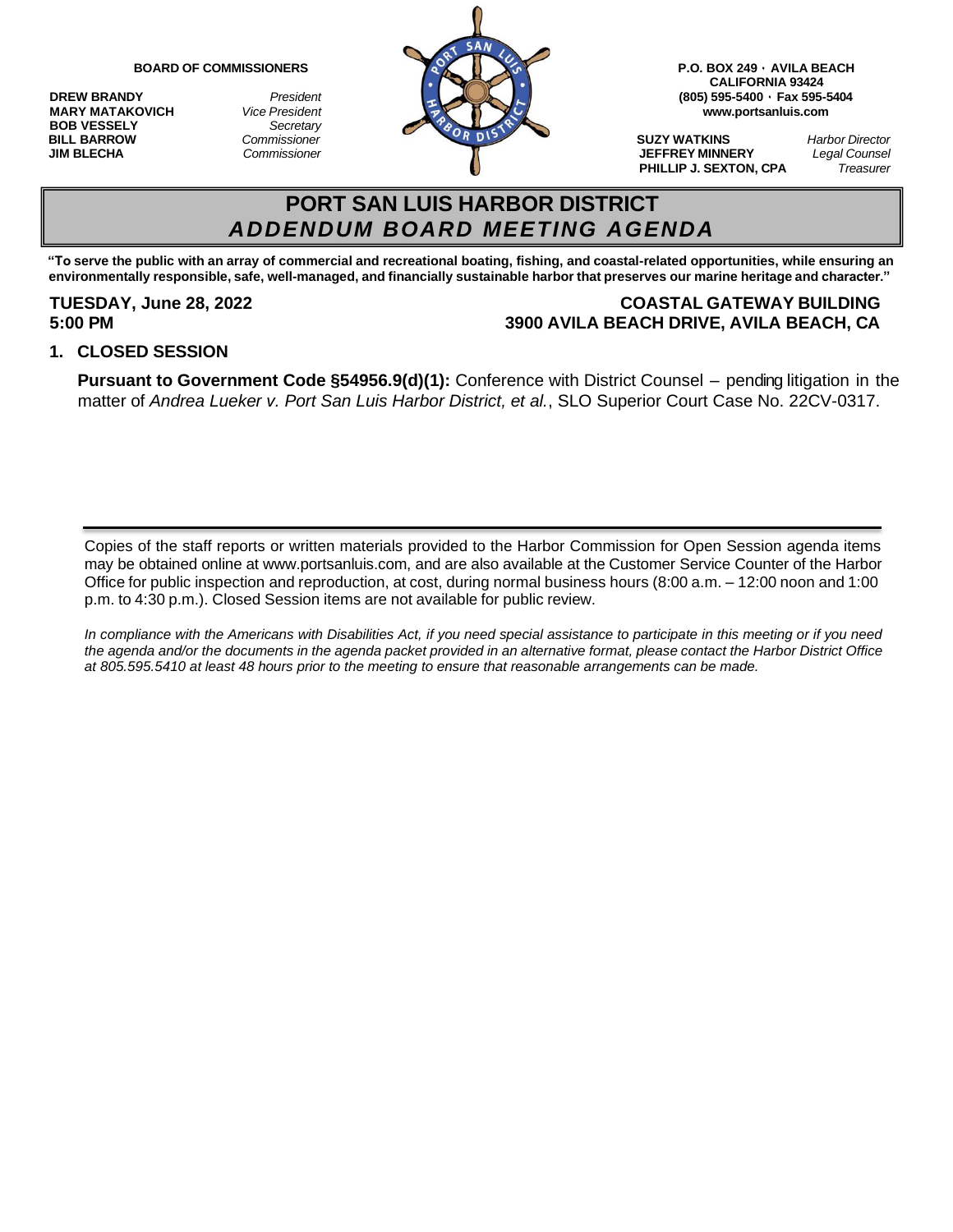**BOB VESSELY** *Secretary*



**CALIFORNIA 93424 MARY MATAKOVICH** *Vice President* **[www.portsanluis.com](http://www.portsanluis.com/)**

**PHILLIP J. SEXTON, CPA** *Treasurer*

# **PORT SAN LUIS HARBOR DISTRICT** *ADDENDUM BOARD MEETING AGENDA*

"To serve the public with an array of commercial and recreational boating, fishing, and coastal-related opportunities, while ensuring an environmentally responsible, safe, well-managed, and financially sustainable harbor that preserves our marine heritage and character."

### **TUESDAY, June 28, 2022 COASTAL GATEWAY BUILDING 5:00 PM 3900 AVILA BEACH DRIVE, AVILA BEACH, CA**

#### **1. CLOSED SESSION**

**Pursuant to Government Code §54956.9(d)(1):** Conference with District Counsel – pending litigation in the matter of *Andrea Lueker v. Port San Luis Harbor District, et al.*, SLO Superior Court Case No. 22CV-0317.

Copies of the staff reports or written materials provided to the Harbor Commission for Open Session agenda items may be obtained online at [www.portsanluis.com,](http://www.portsanluis.com/) and are also available at the Customer Service Counter of the Harbor Office for public inspection and reproduction, at cost, during normal business hours (8:00 a.m. – 12:00 noon and 1:00 p.m. to 4:30 p.m.). Closed Session items are not available for public review.

*In compliance with the Americans with Disabilities Act, if you need special assistance to participate in this meeting or if you need*  the agenda and/or the documents in the agenda packet provided in an alternative format, please contact the Harbor District Office *at 805.595.5410 at least 48 hours prior to the meeting to ensure that reasonable arrangements can be made.*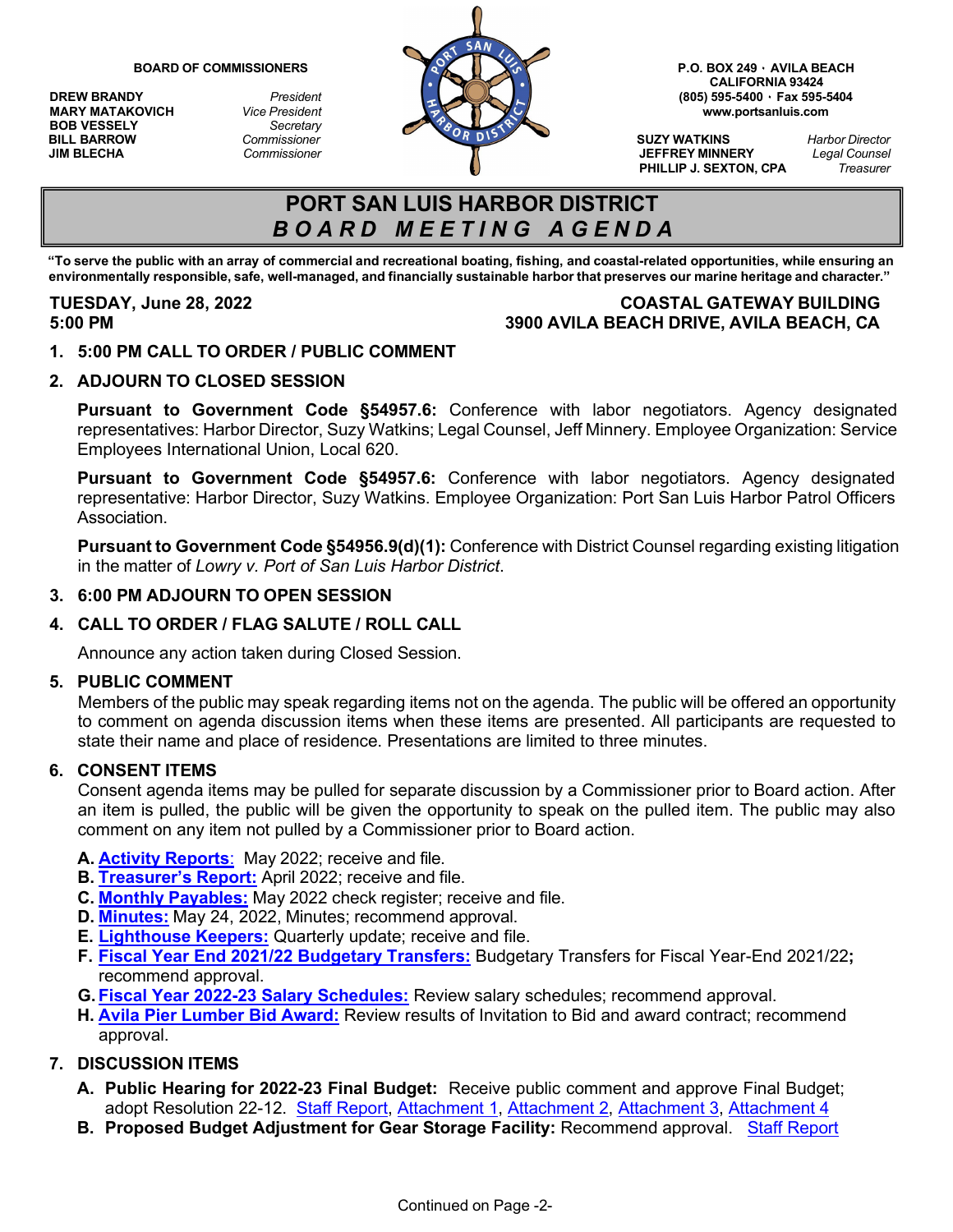**MARY MATAKOVICH** *Vice President*<br>**BOB VESSELY** *Secretary* **BOB VESSELY** *Secretary*



**CALIFORNIA 93424**

**PHILLIP J. SEXTON, CPA** 

## **PORT SAN LUIS HARBOR DISTRICT** *B O A R D M E E T I N G A G E N D A*

"To serve the public with an array of commercial and recreational boating, fishing, and coastal-related opportunities, while ensuring an environmentally responsible, safe, well-managed, and financially sustainable harbor that preserves our marine heritage and character."

## **TUESDAY, June 28, 2022 COASTAL GATEWAY BUILDING 5:00 PM 3900 AVILA BEACH DRIVE, AVILA BEACH, CA**

**1. 5:00 PM CALL TO ORDER / PUBLIC COMMENT**

### **2. ADJOURN TO CLOSED SESSION**

**Pursuant to Government Code §54957.6:** Conference with labor negotiators. Agency designated representatives: Harbor Director, Suzy Watkins; Legal Counsel, Jeff Minnery. Employee Organization: Service Employees International Union, Local 620.

**Pursuant to Government Code §54957.6:** Conference with labor negotiators. Agency designated representative: Harbor Director, Suzy Watkins. Employee Organization: Port San Luis Harbor Patrol Officers Association.

**Pursuant to Government Code §54956.9(d)(1):** Conference with District Counsel regarding existing litigation in the matter of *Lowry v. Port of San Luis Harbor District*.

### **3. 6:00 PM ADJOURN TO OPEN SESSION**

### **4. CALL TO ORDER / FLAG SALUTE / ROLL CALL**

Announce any action taken during Closed Session.

### **5. PUBLIC COMMENT**

Members of the public may speak regarding items not on the agenda. The public will be offered an opportunity to comment on agenda discussion items when these items are presented. All participants are requested to state their name and place of residence. Presentations are limited to three minutes.

### **6. CONSENT ITEMS**

Consent agenda items may be pulled for separate discussion by a Commissioner prior to Board action. After an item is pulled, the public will be given the opportunity to speak on the pulled item. The public may also comment on any item not pulled by a Commissioner prior to Board action.

- **A. Activity [Reports](https://www.portsanluis.com/DocumentCenter/View/6184/Consent-A---PSL-May-2022-Activity-Report)**: May 2022; receive and file.
- **B. [Treasurer's](https://www.portsanluis.com/DocumentCenter/View/6179/Consent-B---PSLHD-TR-043022) Report:** April 2022; receive and file.
- **C. Monthly [Payables:](https://www.portsanluis.com/DocumentCenter/View/6180/Consent-C---Monthly-Payables-for-May-2022-062822-BOC)** May 2022 check register; receive and file.
- **D. [Minutes:](https://www.portsanluis.com/DocumentCenter/View/6182/Consent-D---5242022-DRAFT-Meeting-Minutes)** May 24, 2022, Minutes; recommend approval.
- **E. [Lighthouse](https://www.portsanluis.com/DocumentCenter/View/6183/Consent-E---SR-Lighthouse-Keepers-Activity-Report-for-Jan---Mar-2022-BOC) Keepers:** Quarterly update; receive and file.
- **F. Fiscal Year End [2021/22 Budgetary Transfers:](https://www.portsanluis.com/DocumentCenter/View/6185/Consent-F---SR-3rd-qrt-2021-22--Budgetary-Transfers)** Budgetary Transfers for Fiscal Year-End 2021/22**;** recommend approval.
- **G. [Fiscal Year 2022-23](https://www.portsanluis.com/DocumentCenter/View/6181/Consent-G---Staff-Report-Salary-Schedule-and-attachment---62822) Salary Schedules:** Review salary schedules; recommend approval.
- **H. [Avila Pier Lumber Bid Award:](https://www.portsanluis.com/DocumentCenter/View/6186/Consent-H---Avila-Pier-Lumber-Bid-Award-2022)** Review results of Invitation to Bid and award contract; recommend approval.

### **7. DISCUSSION ITEMS**

- **A. Public Hearing for 2022-23 Final Budget:** Receive public comment and approve Final Budget; adopt Resolution 22-12. [Staff Report,](https://www.portsanluis.com/DocumentCenter/View/6187/Disc-A---SR-2022-6-28-22-Staff-Report--Final-Budget-FY22-23) [Attachment](https://www.portsanluis.com/DocumentCenter/View/6188/Disc-Aa---01-Reso-22-12---Adopting-a-Final-Budget-for-FY-2022-23) 1, [Attachment 2,](https://www.portsanluis.com/DocumentCenter/View/6189/Disc-Ab---2-Reconciliation-of-Preliminary-Budget-to-Proposed-Final-Budget) [Attachment 3,](https://www.portsanluis.com/DocumentCenter/View/6190/Disc-Ac---03-PSL-Legal-Notice-of-Adoption-of-Preliminary-Budget-2022_23-and-Final-Budget) [Attachment 4](https://www.portsanluis.com/DocumentCenter/View/6191/Disc-Ad---4-Final-Budget-Proposed)
- **B.** Proposed Budget Adjustment for Gear Storage Facility: Recommend approval. [Staff Report](https://www.portsanluis.com/DocumentCenter/View/6192/Disc-B----SR-June-28-2022---HT-Gear-Storage-Budget-Adjustment-Final)